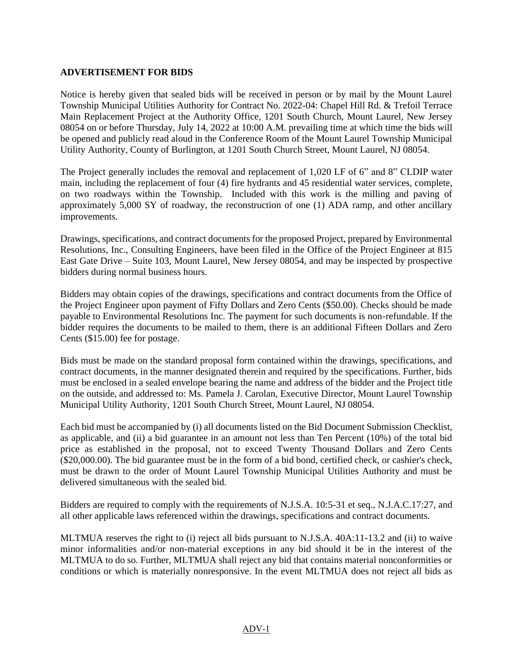## **ADVERTISEMENT FOR BIDS**

Notice is hereby given that sealed bids will be received in person or by mail by the Mount Laurel Township Municipal Utilities Authority for Contract No. 2022-04: Chapel Hill Rd. & Trefoil Terrace Main Replacement Project at the Authority Office, 1201 South Church, Mount Laurel, New Jersey 08054 on or before Thursday, July 14, 2022 at 10:00 A.M. prevailing time at which time the bids will be opened and publicly read aloud in the Conference Room of the Mount Laurel Township Municipal Utility Authority, County of Burlington, at 1201 South Church Street, Mount Laurel, NJ 08054.

The Project generally includes the removal and replacement of 1,020 LF of 6" and 8" CLDIP water main, including the replacement of four (4) fire hydrants and 45 residential water services, complete, on two roadways within the Township. Included with this work is the milling and paving of approximately 5,000 SY of roadway, the reconstruction of one (1) ADA ramp, and other ancillary improvements.

Drawings, specifications, and contract documents for the proposed Project, prepared by Environmental Resolutions, Inc., Consulting Engineers, have been filed in the Office of the Project Engineer at 815 East Gate Drive – Suite 103, Mount Laurel, New Jersey 08054, and may be inspected by prospective bidders during normal business hours.

Bidders may obtain copies of the drawings, specifications and contract documents from the Office of the Project Engineer upon payment of Fifty Dollars and Zero Cents (\$50.00). Checks should be made payable to Environmental Resolutions Inc. The payment for such documents is non-refundable. If the bidder requires the documents to be mailed to them, there is an additional Fifteen Dollars and Zero Cents (\$15.00) fee for postage.

Bids must be made on the standard proposal form contained within the drawings, specifications, and contract documents, in the manner designated therein and required by the specifications. Further, bids must be enclosed in a sealed envelope bearing the name and address of the bidder and the Project title on the outside, and addressed to: Ms. Pamela J. Carolan, Executive Director, Mount Laurel Township Municipal Utility Authority, 1201 South Church Street, Mount Laurel, NJ 08054.

Each bid must be accompanied by (i) all documents listed on the Bid Document Submission Checklist, as applicable, and (ii) a bid guarantee in an amount not less than Ten Percent (10%) of the total bid price as established in the proposal, not to exceed Twenty Thousand Dollars and Zero Cents (\$20,000.00). The bid guarantee must be in the form of a bid bond, certified check, or cashier's check, must be drawn to the order of Mount Laurel Township Municipal Utilities Authority and must be delivered simultaneous with the sealed bid.

Bidders are required to comply with the requirements of N.J.S.A. 10:5-31 et seq., N.J.A.C.17:27, and all other applicable laws referenced within the drawings, specifications and contract documents.

MLTMUA reserves the right to (i) reject all bids pursuant to N.J.S.A. 40A:11-13.2 and (ii) to waive minor informalities and/or non-material exceptions in any bid should it be in the interest of the MLTMUA to do so. Further, MLTMUA shall reject any bid that contains material nonconformities or conditions or which is materially nonresponsive. In the event MLTMUA does not reject all bids as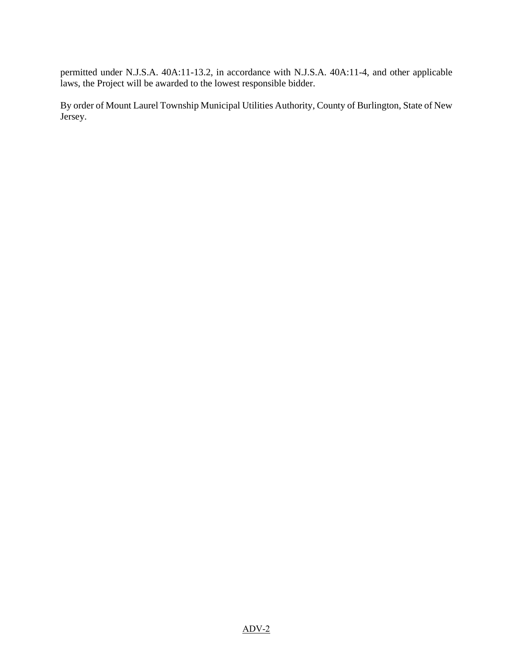permitted under N.J.S.A. 40A:11-13.2, in accordance with N.J.S.A. 40A:11-4, and other applicable laws, the Project will be awarded to the lowest responsible bidder.

By order of Mount Laurel Township Municipal Utilities Authority, County of Burlington, State of New Jersey.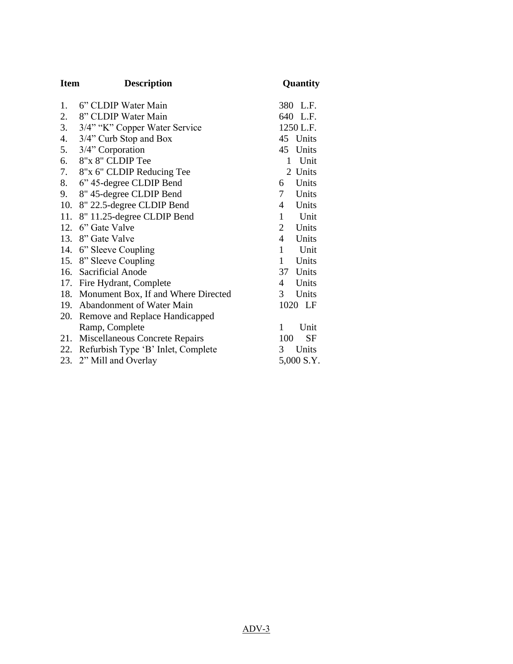| <b>Item</b> | <b>Description</b>                      | Quantity             |
|-------------|-----------------------------------------|----------------------|
| 1.          | 6" CLDIP Water Main                     | 380 L.F.             |
| 2.          | 8" CLDIP Water Main                     | 640 L.F.             |
| 3.          | 3/4" "K" Copper Water Service           | 1250 L.F.            |
| 4.          | 3/4" Curb Stop and Box                  | 45 Units             |
| 5.          | 3/4" Corporation                        | 45 Units             |
| 6.          | 8"x 8" CLDIP Tee                        | Unit<br>1            |
| 7.          | 8"x 6" CLDIP Reducing Tee               | 2 Units              |
| 8.          | 6" 45-degree CLDIP Bend                 | Units<br>6           |
| 9.          | 8" 45-degree CLDIP Bend                 | 7<br>Units           |
| 10.         | 8" 22.5-degree CLDIP Bend               | Units<br>4           |
| 11.         | 8" 11.25-degree CLDIP Bend              | 1<br>Unit            |
|             | 12. 6" Gate Valve                       | 2 Units              |
|             | 13. 8" Gate Valve                       | 4 Units              |
|             | 14. 6" Sleeve Coupling                  | $\mathbf{1}$<br>Unit |
|             | 15. 8" Sleeve Coupling                  | 1<br>Units           |
|             | 16. Sacrificial Anode                   | 37 Units             |
|             | 17. Fire Hydrant, Complete              | Units<br>4           |
|             | 18. Monument Box, If and Where Directed | 3<br>Units           |
|             | 19. Abandonment of Water Main           | 1020 LF              |
|             | 20. Remove and Replace Handicapped      |                      |
|             | Ramp, Complete                          | 1<br>Unit            |
|             | 21. Miscellaneous Concrete Repairs      | SF<br>100            |
|             | 22. Refurbish Type 'B' Inlet, Complete  | Units<br>3           |
|             | 23. 2" Mill and Overlay                 | 5,000 S.Y.           |